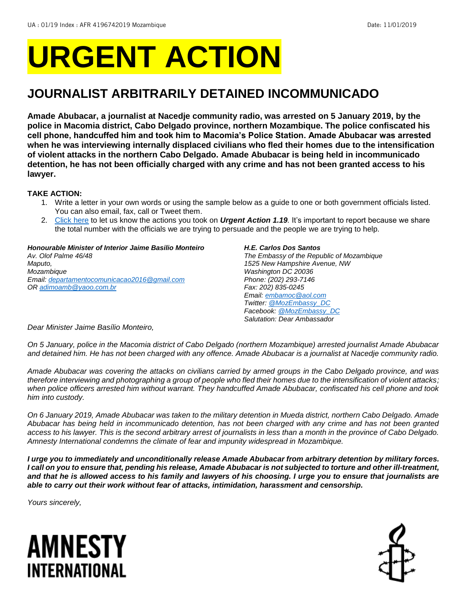# **URGENT ACTION**

## **JOURNALIST ARBITRARILY DETAINED INCOMMUNICADO**

**Amade Abubacar, a journalist at Nacedje community radio, was arrested on 5 January 2019, by the police in Macomia district, Cabo Delgado province, northern Mozambique. The police confiscated his cell phone, handcuffed him and took him to Macomia's Police Station. Amade Abubacar was arrested when he was interviewing internally displaced civilians who fled their homes due to the intensification of violent attacks in the northern Cabo Delgado. Amade Abubacar is being held in incommunicado detention, he has not been officially charged with any crime and has not been granted access to his lawyer.**

## **TAKE ACTION:**

- 1. Write a letter in your own words or using the sample below as a guide to one or both government officials listed. You can also email, fax, call or Tweet them.
- 2. [Click here](http://www.amnestyusa.org/report-urgent-actions) to let us know the actions you took on *Urgent Action 1.19.* It's important to report because we share the total number with the officials we are trying to persuade and the people we are trying to help.

| <b>Honourable Minister of Interior Jaime Basilio Monteiro</b> |
|---------------------------------------------------------------|
| Av. Olof Palme 46/48                                          |
| Maputo,                                                       |
| Mozambique                                                    |
| Email: departamentocomunicacao2016@gmail.com                  |
| OR adimoamb@yaoo.com.br                                       |
|                                                               |
|                                                               |

#### *H.E. Carlos Dos Santos*

*The Embassy of the Republic of Mozambique 1525 New Hampshire Avenue, NW Washington DC 20036 Phone: (202) 293-7146 Fax: 202) 835-0245 Email[: embamoc@aol.com](mailto:embamoc@aol.com) Twitter: [@MozEmbassy\\_DC](https://twitter.com/mozembassy_dc?lang=en) Facebook[: @MozEmbassy\\_DC](https://www.facebook.com/pages/Embassy-of-Mozambique-in-Washington-DC/177631502296087) Salutation: Dear Ambassador*

*Dear Minister Jaime Basílio Monteiro,*

*On 5 January, police in the Macomia district of Cabo Delgado (northern Mozambique) arrested journalist Amade Abubacar and detained him. He has not been charged with any offence. Amade Abubacar is a journalist at Nacedje community radio.*

*Amade Abubacar was covering the attacks on civilians carried by armed groups in the Cabo Delgado province, and was therefore interviewing and photographing a group of people who fled their homes due to the intensification of violent attacks; when police officers arrested him without warrant. They handcuffed Amade Abubacar, confiscated his cell phone and took him into custody.*

*On 6 January 2019, Amade Abubacar was taken to the military detention in Mueda district, northern Cabo Delgado. Amade Abubacar has being held in incommunicado detention, has not been charged with any crime and has not been granted access to his lawyer. This is the second arbitrary arrest of journalists in less than a month in the province of Cabo Delgado. Amnesty International condemns the climate of fear and impunity widespread in Mozambique.*

*I urge you to immediately and unconditionally release Amade Abubacar from arbitrary detention by military forces. I call on you to ensure that, pending his release, Amade Abubacar is not subjected to torture and other ill-treatment, and that he is allowed access to his family and lawyers of his choosing. I urge you to ensure that journalists are able to carry out their work without fear of attacks, intimidation, harassment and censorship.*

*Yours sincerely,*